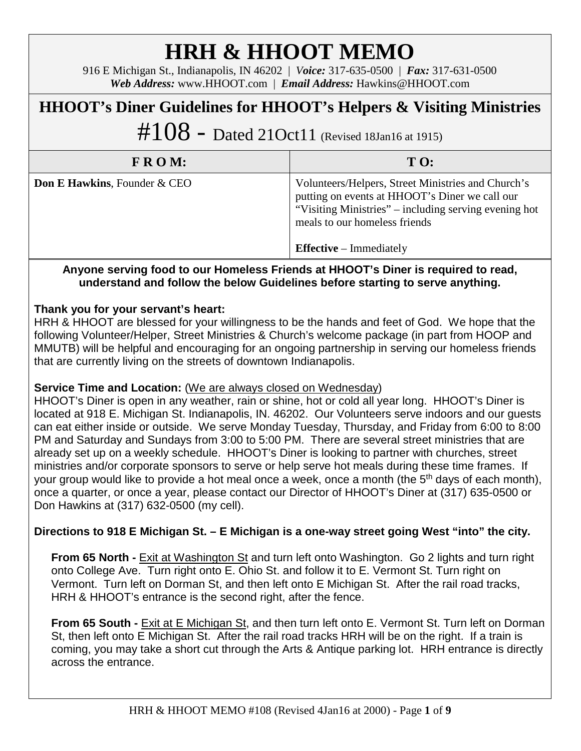# **HRH & HHOOT MEMO**

916 E Michigan St., Indianapolis, IN 46202 | *Voice:* 317-635-0500 | *Fax:* 317-631-0500 *Web Address:* www.HHOOT.com | *Email Address:* Hawkins@HHOOT.com

## **HHOOT's Diner Guidelines for HHOOT's Helpers & Visiting Ministries**

 $\#108$  – Dated 21Oct11 (Revised 18Jan16 at 1915)

| FROM:                                   | T O:                                                                                                                                                                                                                             |
|-----------------------------------------|----------------------------------------------------------------------------------------------------------------------------------------------------------------------------------------------------------------------------------|
| <b>Don E Hawkins, Founder &amp; CEO</b> | Volunteers/Helpers, Street Ministries and Church's<br>putting on events at HHOOT's Diner we call our<br>"Visiting Ministries" – including serving evening hot<br>meals to our homeless friends<br><b>Effective</b> – Immediately |

#### **Anyone serving food to our Homeless Friends at HHOOT's Diner is required to read, understand and follow the below Guidelines before starting to serve anything.**

#### **Thank you for your servant's heart:**

HRH & HHOOT are blessed for your willingness to be the hands and feet of God. We hope that the following Volunteer/Helper, Street Ministries & Church's welcome package (in part from HOOP and MMUTB) will be helpful and encouraging for an ongoing partnership in serving our homeless friends that are currently living on the streets of downtown Indianapolis.

#### **Service Time and Locat**i**on:** (We are always closed on Wednesday)

HHOOT's Diner is open in any weather, rain or shine, hot or cold all year long. HHOOT's Diner is located at 918 E. Michigan St. Indianapolis, IN. 46202. Our Volunteers serve indoors and our guests can eat either inside or outside. We serve Monday Tuesday, Thursday, and Friday from 6:00 to 8:00 PM and Saturday and Sundays from 3:00 to 5:00 PM. There are several street ministries that are already set up on a weekly schedule. HHOOT's Diner is looking to partner with churches, street ministries and/or corporate sponsors to serve or help serve hot meals during these time frames. If your group would like to provide a hot meal once a week, once a month (the 5<sup>th</sup> days of each month), once a quarter, or once a year, please contact our Director of HHOOT's Diner at (317) 635-0500 or Don Hawkins at (317) 632-0500 (my cell).

### **Directions to 918 E Michigan St. – E Michigan is a one-way street going West "into" the city.**

**From 65 North -** Exit at Washington St and turn left onto Washington. Go 2 lights and turn right onto College Ave. Turn right onto E. Ohio St. and follow it to E. Vermont St. Turn right on Vermont. Turn left on Dorman St, and then left onto E Michigan St. After the rail road tracks, HRH & HHOOT's entrance is the second right, after the fence.

**From 65 South -** Exit at E Michigan St, and then turn left onto E. Vermont St. Turn left on Dorman St, then left onto E Michigan St. After the rail road tracks HRH will be on the right. If a train is coming, you may take a short cut through the Arts & Antique parking lot. HRH entrance is directly across the entrance.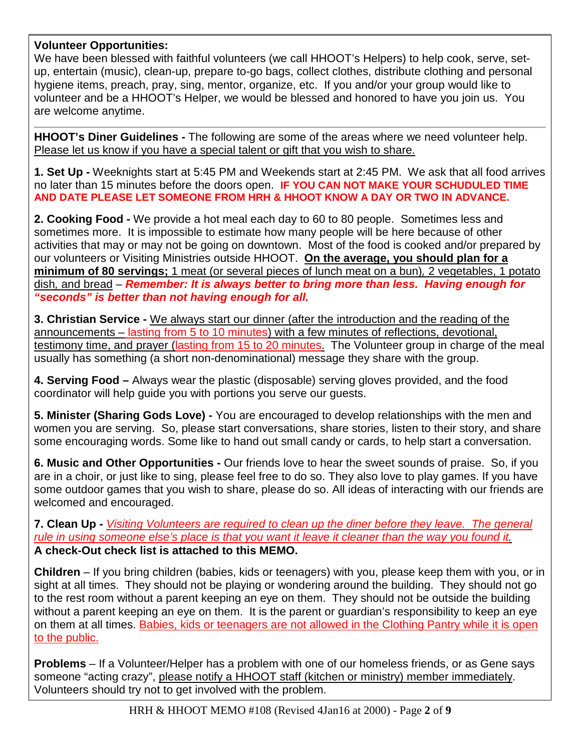#### **Volunteer Opportunities:**

We have been blessed with faithful volunteers (we call HHOOT's Helpers) to help cook, serve, setup, entertain (music), clean-up, prepare to-go bags, collect clothes, distribute clothing and personal hygiene items, preach, pray, sing, mentor, organize, etc. If you and/or your group would like to volunteer and be a HHOOT's Helper, we would be blessed and honored to have you join us. You are welcome anytime.

**HHOOT's Diner Guidelines -** The following are some of the areas where we need volunteer help. Please let us know if you have a special talent or gift that you wish to share.

**1. Set Up -** Weeknights start at 5:45 PM and Weekends start at 2:45 PM. We ask that all food arrives no later than 15 minutes before the doors open. **IF YOU CAN NOT MAKE YOUR SCHUDULED TIME AND DATE PLEASE LET SOMEONE FROM HRH & HHOOT KNOW A DAY OR TWO IN ADVANCE.**

**2. Cooking Food -** We provide a hot meal each day to 60 to 80 people. Sometimes less and sometimes more. It is impossible to estimate how many people will be here because of other activities that may or may not be going on downtown. Most of the food is cooked and/or prepared by our volunteers or Visiting Ministries outside HHOOT. **On the average, you should plan for a minimum of 80 servings;** 1 meat (or several pieces of lunch meat on a bun)*,* 2 vegetables, 1 potato dish*,* and bread *– Remember: It is always better to bring more than less. Having enough for "seconds" is better than not having enough for all.*

**3. Christian Service -** We always start our dinner (after the introduction and the reading of the announcements – lasting from 5 to 10 minutes) with a few minutes of reflections, devotional, testimony time, and prayer (lasting from 15 to 20 minutes. The Volunteer group in charge of the meal usually has something (a short non-denominational) message they share with the group.

**4. Serving Food –** Always wear the plastic (disposable) serving gloves provided, and the food coordinator will help guide you with portions you serve our guests.

**5. Minister (Sharing Gods Love) -** You are encouraged to develop relationships with the men and women you are serving. So, please start conversations, share stories, listen to their story, and share some encouraging words. Some like to hand out small candy or cards, to help start a conversation.

**6. Music and Other Opportunities -** Our friends love to hear the sweet sounds of praise. So, if you are in a choir, or just like to sing, please feel free to do so. They also love to play games. If you have some outdoor games that you wish to share, please do so. All ideas of interacting with our friends are welcomed and encouraged.

**7. Clean Up -** *Visiting Volunteers are required to clean up the diner before they leave. The general rule in using someone else's place is that you want it leave it cleaner than the way you found it.*  **A check-Out check list is attached to this MEMO.**

**Children** – If you bring children (babies, kids or teenagers) with you, please keep them with you, or in sight at all times. They should not be playing or wondering around the building. They should not go to the rest room without a parent keeping an eye on them. They should not be outside the building without a parent keeping an eye on them. It is the parent or guardian's responsibility to keep an eye on them at all times. Babies, kids or teenagers are not allowed in the Clothing Pantry while it is open to the public.

**Problems** – If a Volunteer/Helper has a problem with one of our homeless friends, or as Gene says someone "acting crazy", please notify a HHOOT staff (kitchen or ministry) member immediately. Volunteers should try not to get involved with the problem.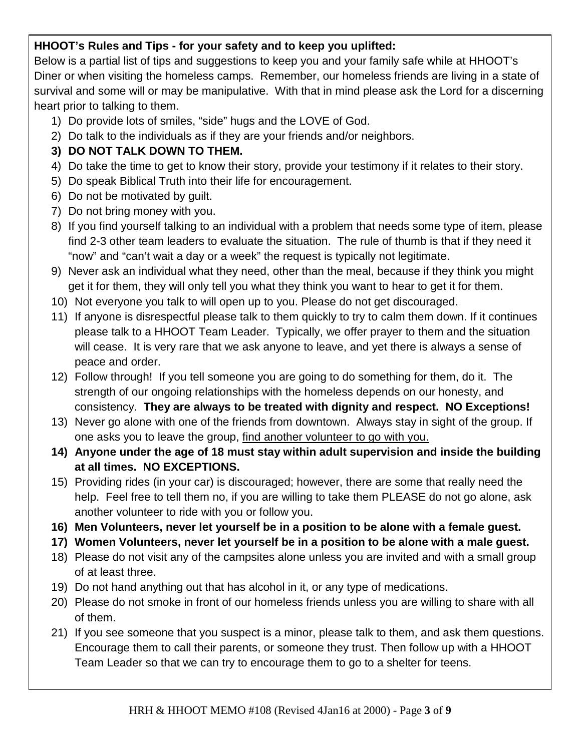### **HHOOT's Rules and Tips - for your safety and to keep you uplifted:**

Below is a partial list of tips and suggestions to keep you and your family safe while at HHOOT's Diner or when visiting the homeless camps. Remember, our homeless friends are living in a state of survival and some will or may be manipulative. With that in mind please ask the Lord for a discerning heart prior to talking to them.

- 1) Do provide lots of smiles, "side" hugs and the LOVE of God.
- 2) Do talk to the individuals as if they are your friends and/or neighbors.

## **3) DO NOT TALK DOWN TO THEM.**

- 4) Do take the time to get to know their story, provide your testimony if it relates to their story.
- 5) Do speak Biblical Truth into their life for encouragement.
- 6) Do not be motivated by guilt.
- 7) Do not bring money with you.
- 8) If you find yourself talking to an individual with a problem that needs some type of item, please find 2-3 other team leaders to evaluate the situation. The rule of thumb is that if they need it "now" and "can't wait a day or a week" the request is typically not legitimate.
- 9) Never ask an individual what they need, other than the meal, because if they think you might get it for them, they will only tell you what they think you want to hear to get it for them.
- 10) Not everyone you talk to will open up to you. Please do not get discouraged.
- 11) If anyone is disrespectful please talk to them quickly to try to calm them down. If it continues please talk to a HHOOT Team Leader. Typically, we offer prayer to them and the situation will cease. It is very rare that we ask anyone to leave, and yet there is always a sense of peace and order.
- 12) Follow through! If you tell someone you are going to do something for them, do it. The strength of our ongoing relationships with the homeless depends on our honesty, and consistency. **They are always to be treated with dignity and respect. NO Exceptions!**
- 13) Never go alone with one of the friends from downtown. Always stay in sight of the group. If one asks you to leave the group, find another volunteer to go with you.
- **14) Anyone under the age of 18 must stay within adult supervision and inside the building at all times. NO EXCEPTIONS.**
- 15) Providing rides (in your car) is discouraged; however, there are some that really need the help. Feel free to tell them no, if you are willing to take them PLEASE do not go alone, ask another volunteer to ride with you or follow you.
- **16) Men Volunteers, never let yourself be in a position to be alone with a female guest.**
- **17) Women Volunteers, never let yourself be in a position to be alone with a male guest.**
- 18) Please do not visit any of the campsites alone unless you are invited and with a small group of at least three.
- 19) Do not hand anything out that has alcohol in it, or any type of medications.
- 20) Please do not smoke in front of our homeless friends unless you are willing to share with all of them.
- 21) If you see someone that you suspect is a minor, please talk to them, and ask them questions. Encourage them to call their parents, or someone they trust. Then follow up with a HHOOT Team Leader so that we can try to encourage them to go to a shelter for teens.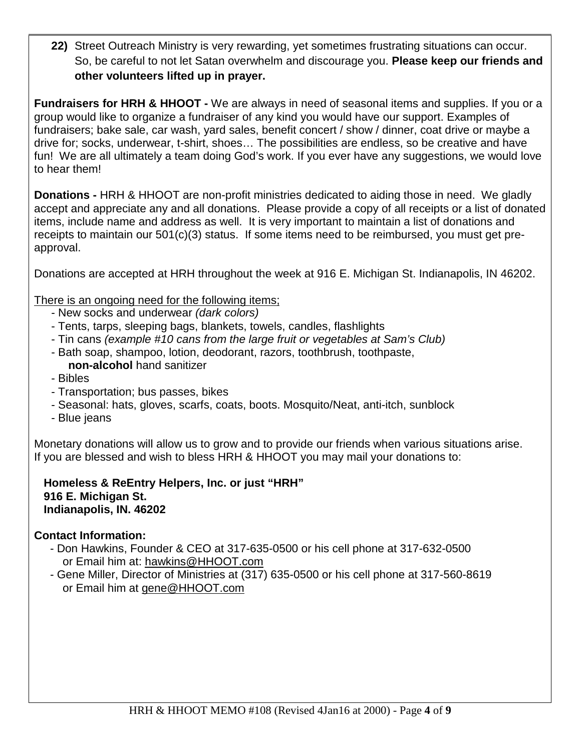**22)** Street Outreach Ministry is very rewarding, yet sometimes frustrating situations can occur. So, be careful to not let Satan overwhelm and discourage you. **Please keep our friends and other volunteers lifted up in prayer.**

**Fundraisers for HRH & HHOOT -** We are always in need of seasonal items and supplies. If you or a group would like to organize a fundraiser of any kind you would have our support. Examples of fundraisers; bake sale, car wash, yard sales, benefit concert / show / dinner, coat drive or maybe a drive for; socks, underwear, t-shirt, shoes… The possibilities are endless, so be creative and have fun! We are all ultimately a team doing God's work. If you ever have any suggestions, we would love to hear them!

**Donations -** HRH & HHOOT are non-profit ministries dedicated to aiding those in need. We gladly accept and appreciate any and all donations. Please provide a copy of all receipts or a list of donated items, include name and address as well. It is very important to maintain a list of donations and receipts to maintain our 501(c)(3) status. If some items need to be reimbursed, you must get preapproval.

Donations are accepted at HRH throughout the week at 916 E. Michigan St. Indianapolis, IN 46202.

There is an ongoing need for the following items;

- New socks and underwear *(dark colors)*
- Tents, tarps, sleeping bags, blankets, towels, candles, flashlights
- Tin cans *(example #10 cans from the large fruit or vegetables at Sam's Club)*
- Bath soap, shampoo, lotion, deodorant, razors, toothbrush, toothpaste, **non-alcohol** hand sanitizer
- Bibles
- Transportation; bus passes, bikes
- Seasonal: hats, gloves, scarfs, coats, boots. Mosquito/Neat, anti-itch, sunblock
- Blue jeans

Monetary donations will allow us to grow and to provide our friends when various situations arise. If you are blessed and wish to bless HRH & HHOOT you may mail your donations to:

 **Homeless & ReEntry Helpers, Inc. or just "HRH" 916 E. Michigan St. Indianapolis, IN. 46202**

#### **Contact Information:**

- Don Hawkins, Founder & CEO at 317-635-0500 or his cell phone at 317-632-0500 or Email him at: [hawkins@HHOOT.com](mailto:hawkins@HHOOT.com)
- Gene Miller, Director of Ministries at (317) 635-0500 or his cell phone at 317-560-8619 or Email him at [gene@HHOOT.com](mailto:gene@HHOOT.com)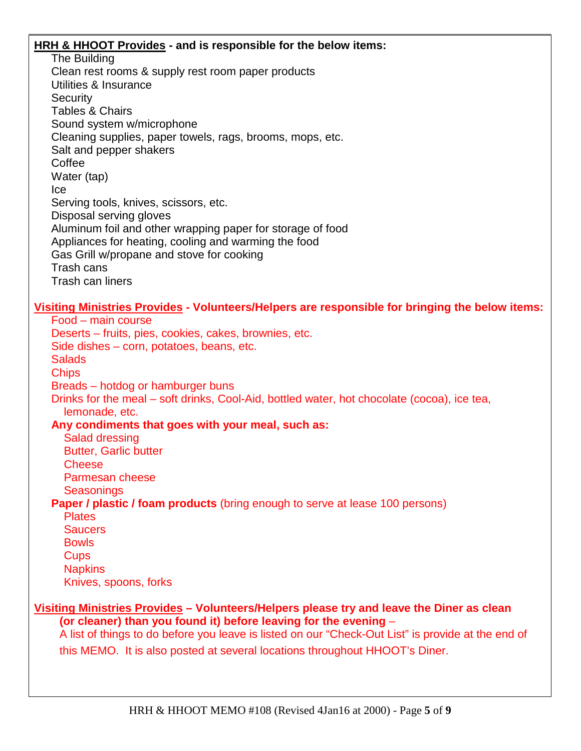#### **HRH & HHOOT Provides - and is responsible for the below items:**

The Building Clean rest rooms & supply rest room paper products Utilities & Insurance **Security** Tables & Chairs Sound system w/microphone Cleaning supplies, paper towels, rags, brooms, mops, etc. Salt and pepper shakers Coffee Water (tap) Ice Serving tools, knives, scissors, etc. Disposal serving gloves Aluminum foil and other wrapping paper for storage of food Appliances for heating, cooling and warming the food Gas Grill w/propane and stove for cooking Trash cans Trash can liners

#### **Visiting Ministries Provides - Volunteers/Helpers are responsible for bringing the below items:**

Food – main course Deserts – fruits, pies, cookies, cakes, brownies, etc. Side dishes – corn, potatoes, beans, etc. **Salads Chips** Breads – hotdog or hamburger buns Drinks for the meal – soft drinks, Cool-Aid, bottled water, hot chocolate (cocoa), ice tea, lemonade, etc. **Any condiments that goes with your meal, such as:** Salad dressing Butter, Garlic butter **Cheese**  Parmesan cheese **Seasonings Paper / plastic / foam products** (bring enough to serve at lease 100 persons) Plates Saucers Bowls **Cups Napkins**  Knives, spoons, forks **Visiting Ministries Provides – Volunteers/Helpers please try and leave the Diner as clean (or cleaner) than you found it) before leaving for the evening** –

 A list of things to do before you leave is listed on our "Check-Out List" is provide at the end of this MEMO. It is also posted at several locations throughout HHOOT's Diner.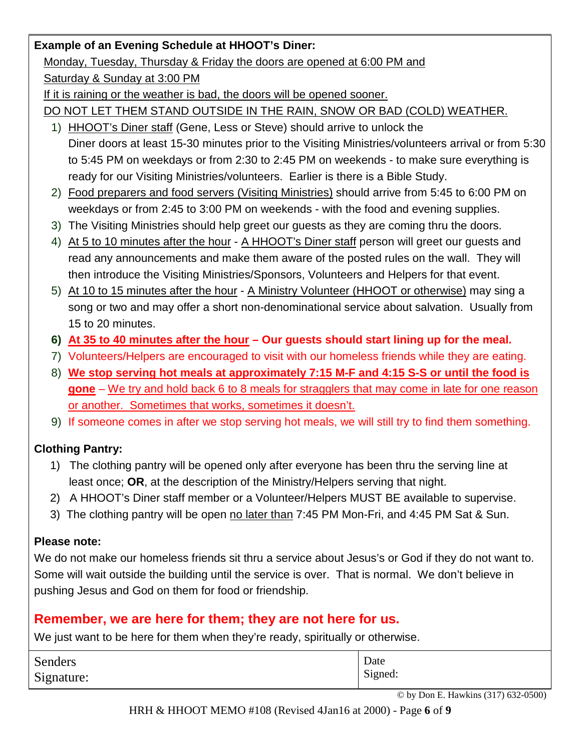### **Example of an Evening Schedule at HHOOT's Diner:**

#### Monday, Tuesday, Thursday & Friday the doors are opened at 6:00 PM and

Saturday & Sunday at 3:00 PM

If it is raining or the weather is bad, the doors will be opened sooner.

DO NOT LET THEM STAND OUTSIDE IN THE RAIN, SNOW OR BAD (COLD) WEATHER.

- 1) HHOOT's Diner staff (Gene, Less or Steve) should arrive to unlock the Diner doors at least 15-30 minutes prior to the Visiting Ministries/volunteers arrival or from 5:30 to 5:45 PM on weekdays or from 2:30 to 2:45 PM on weekends - to make sure everything is ready for our Visiting Ministries/volunteers. Earlier is there is a Bible Study.
- 2) Food preparers and food servers (Visiting Ministries) should arrive from 5:45 to 6:00 PM on weekdays or from 2:45 to 3:00 PM on weekends - with the food and evening supplies.
- 3) The Visiting Ministries should help greet our guests as they are coming thru the doors.
- 4) At 5 to 10 minutes after the hour A HHOOT's Diner staff person will greet our guests and read any announcements and make them aware of the posted rules on the wall. They will then introduce the Visiting Ministries/Sponsors, Volunteers and Helpers for that event.
- 5) At 10 to 15 minutes after the hour A Ministry Volunteer (HHOOT or otherwise) may sing a song or two and may offer a short non-denominational service about salvation. Usually from 15 to 20 minutes.
- **6) At 35 to 40 minutes after the hour – Our guests should start lining up for the meal.**
- 7) Volunteers/Helpers are encouraged to visit with our homeless friends while they are eating.
- 8) **We stop serving hot meals at approximately 7:15 M-F and 4:15 S-S or until the food is gone** – We try and hold back 6 to 8 meals for stragglers that may come in late for one reason or another. Sometimes that works, sometimes it doesn't.
- 9) If someone comes in after we stop serving hot meals, we will still try to find them something.

## **Clothing Pantry:**

- 1) The clothing pantry will be opened only after everyone has been thru the serving line at least once; **OR**, at the description of the Ministry/Helpers serving that night.
- 2) A HHOOT's Diner staff member or a Volunteer/Helpers MUST BE available to supervise.
- 3) The clothing pantry will be open no later than 7:45 PM Mon-Fri, and 4:45 PM Sat & Sun.

## **Please note:**

We do not make our homeless friends sit thru a service about Jesus's or God if they do not want to. Some will wait outside the building until the service is over. That is normal. We don't believe in pushing Jesus and God on them for food or friendship.

## **Remember, we are here for them; they are not here for us.**

We just want to be here for them when they're ready, spiritually or otherwise.

| Senders    | Date    |
|------------|---------|
| Signature: | Signed: |

© by Don E. Hawkins (317) 632-0500)

HRH & HHOOT MEMO #108 (Revised 4Jan16 at 2000) - Page **6** of **9**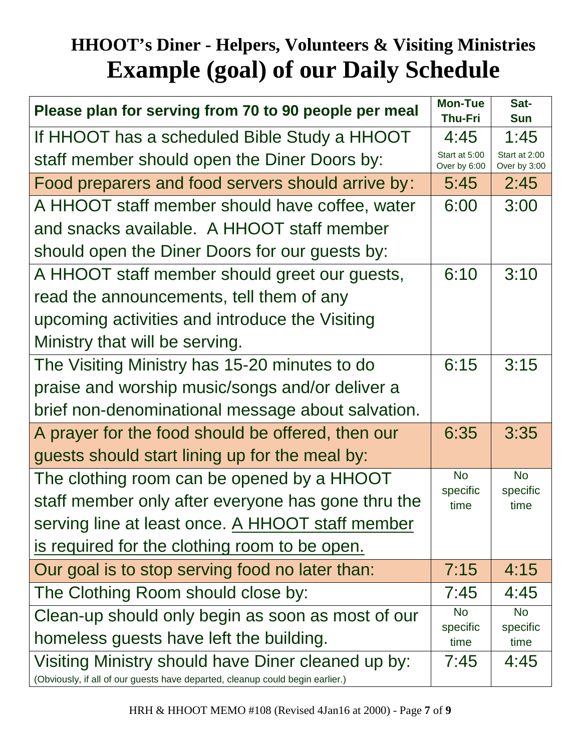## **HHOOT's Diner - Helpers, Volunteers & Visiting Ministries Example (goal) of our Daily Schedule**

| Please plan for serving from 70 to 90 people per meal                                                                               |                       | Sat-<br><b>Sun</b>            |
|-------------------------------------------------------------------------------------------------------------------------------------|-----------------------|-------------------------------|
| If HHOOT has a scheduled Bible Study a HHOOT                                                                                        |                       | 1:45                          |
| staff member should open the Diner Doors by:                                                                                        |                       | Start at 2:00<br>Over by 3:00 |
| Food preparers and food servers should arrive by:                                                                                   |                       | 2:45                          |
| A HHOOT staff member should have coffee, water                                                                                      | 6:00                  | 3:00                          |
| and snacks available. A HHOOT staff member                                                                                          |                       |                               |
| should open the Diner Doors for our guests by:                                                                                      |                       |                               |
| A HHOOT staff member should greet our guests,                                                                                       | 6:10                  | 3:10                          |
| read the announcements, tell them of any                                                                                            |                       |                               |
| upcoming activities and introduce the Visiting                                                                                      |                       |                               |
| Ministry that will be serving.                                                                                                      |                       |                               |
| The Visiting Ministry has 15-20 minutes to do                                                                                       | 6:15                  | 3:15                          |
| praise and worship music/songs and/or deliver a                                                                                     |                       |                               |
| brief non-denominational message about salvation.                                                                                   |                       |                               |
| A prayer for the food should be offered, then our                                                                                   | 6:35                  | 3:35                          |
| guests should start lining up for the meal by:                                                                                      |                       |                               |
| The clothing room can be opened by a HHOOT                                                                                          | <b>No</b>             | <b>No</b>                     |
| staff member only after everyone has gone thru the                                                                                  | specific<br>time      | specific<br>time              |
| serving line at least once. A HHOOT staff member                                                                                    |                       |                               |
| is required for the clothing room to be open.                                                                                       |                       |                               |
| Our goal is to stop serving food no later than:                                                                                     | 7:15                  | 4:15                          |
| The Clothing Room should close by:                                                                                                  | 7:45                  | 4:45                          |
| Clean-up should only begin as soon as most of our                                                                                   | <b>No</b><br>specific | <b>No</b><br>specific         |
| homeless guests have left the building.                                                                                             |                       | time                          |
| Visiting Ministry should have Diner cleaned up by:<br>(Obviously, if all of our guests have departed, cleanup could begin earlier.) | 7:45                  | 4:45                          |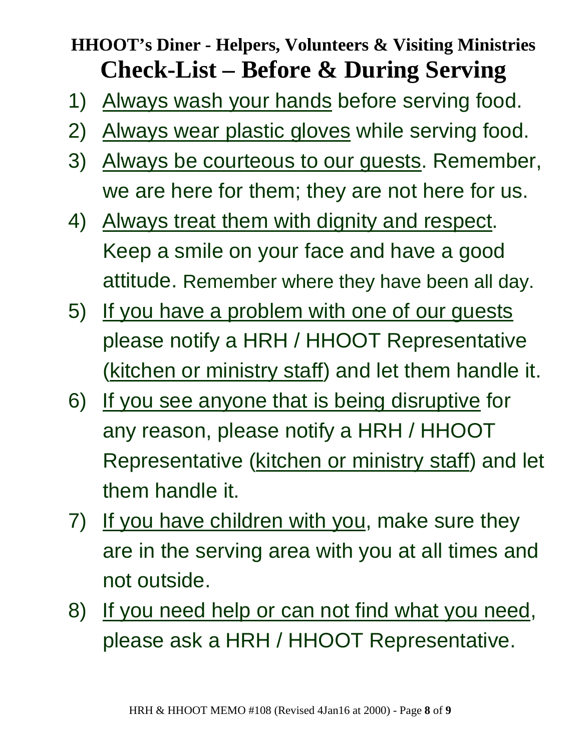## **HHOOT's Diner - Helpers, Volunteers & Visiting Ministries Check-List – Before & During Serving**

- 1) Always wash your hands before serving food.
- 2) Always wear plastic gloves while serving food.
- 3) Always be courteous to our guests. Remember, we are here for them; they are not here for us.
- 4) Always treat them with dignity and respect. Keep a smile on your face and have a good attitude. Remember where they have been all day.
- 5) If you have a problem with one of our guests please notify a HRH / HHOOT Representative (kitchen or ministry staff) and let them handle it.
- 6) If you see anyone that is being disruptive for any reason, please notify a HRH / HHOOT Representative (kitchen or ministry staff) and let them handle it.
- 7) If you have children with you, make sure they are in the serving area with you at all times and not outside.
- 8) If you need help or can not find what you need, please ask a HRH / HHOOT Representative.